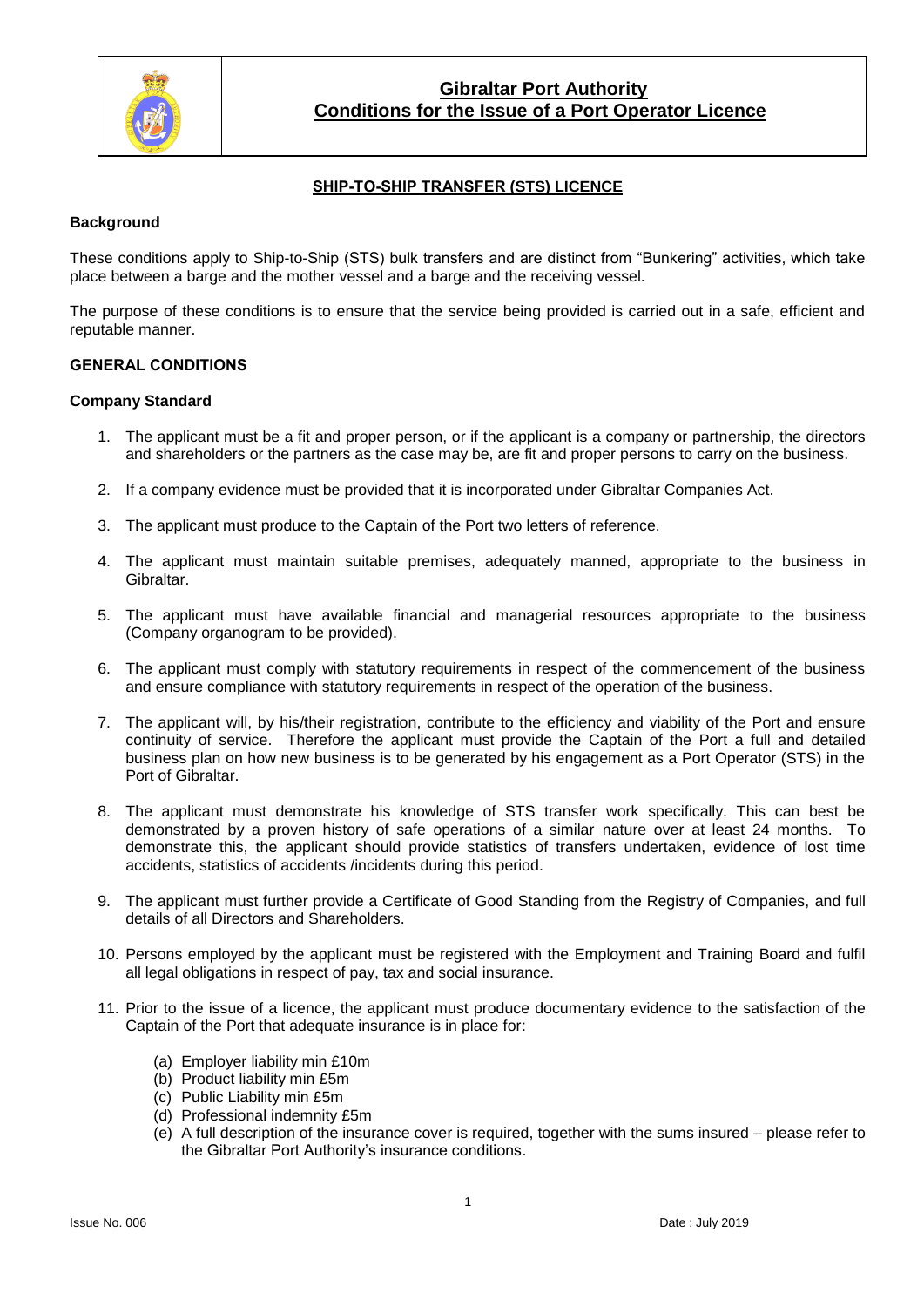

## **SHIP-TO-SHIP TRANSFER (STS) LICENCE**

### **Background**

These conditions apply to Ship-to-Ship (STS) bulk transfers and are distinct from "Bunkering" activities, which take place between a barge and the mother vessel and a barge and the receiving vessel.

The purpose of these conditions is to ensure that the service being provided is carried out in a safe, efficient and reputable manner.

#### **GENERAL CONDITIONS**

#### **Company Standard**

- 1. The applicant must be a fit and proper person, or if the applicant is a company or partnership, the directors and shareholders or the partners as the case may be, are fit and proper persons to carry on the business.
- 2. If a company evidence must be provided that it is incorporated under Gibraltar Companies Act.
- 3. The applicant must produce to the Captain of the Port two letters of reference.
- 4. The applicant must maintain suitable premises, adequately manned, appropriate to the business in Gibraltar.
- 5. The applicant must have available financial and managerial resources appropriate to the business (Company organogram to be provided).
- 6. The applicant must comply with statutory requirements in respect of the commencement of the business and ensure compliance with statutory requirements in respect of the operation of the business.
- 7. The applicant will, by his/their registration, contribute to the efficiency and viability of the Port and ensure continuity of service. Therefore the applicant must provide the Captain of the Port a full and detailed business plan on how new business is to be generated by his engagement as a Port Operator (STS) in the Port of Gibraltar.
- 8. The applicant must demonstrate his knowledge of STS transfer work specifically. This can best be demonstrated by a proven history of safe operations of a similar nature over at least 24 months. To demonstrate this, the applicant should provide statistics of transfers undertaken, evidence of lost time accidents, statistics of accidents /incidents during this period.
- 9. The applicant must further provide a Certificate of Good Standing from the Registry of Companies, and full details of all Directors and Shareholders.
- 10. Persons employed by the applicant must be registered with the Employment and Training Board and fulfil all legal obligations in respect of pay, tax and social insurance.
- 11. Prior to the issue of a licence, the applicant must produce documentary evidence to the satisfaction of the Captain of the Port that adequate insurance is in place for:
	- (a) Employer liability min £10m
	- (b) Product liability min £5m
	- (c) Public Liability min £5m
	- (d) Professional indemnity £5m
	- (e) A full description of the insurance cover is required, together with the sums insured please refer to the Gibraltar Port Authority's insurance conditions.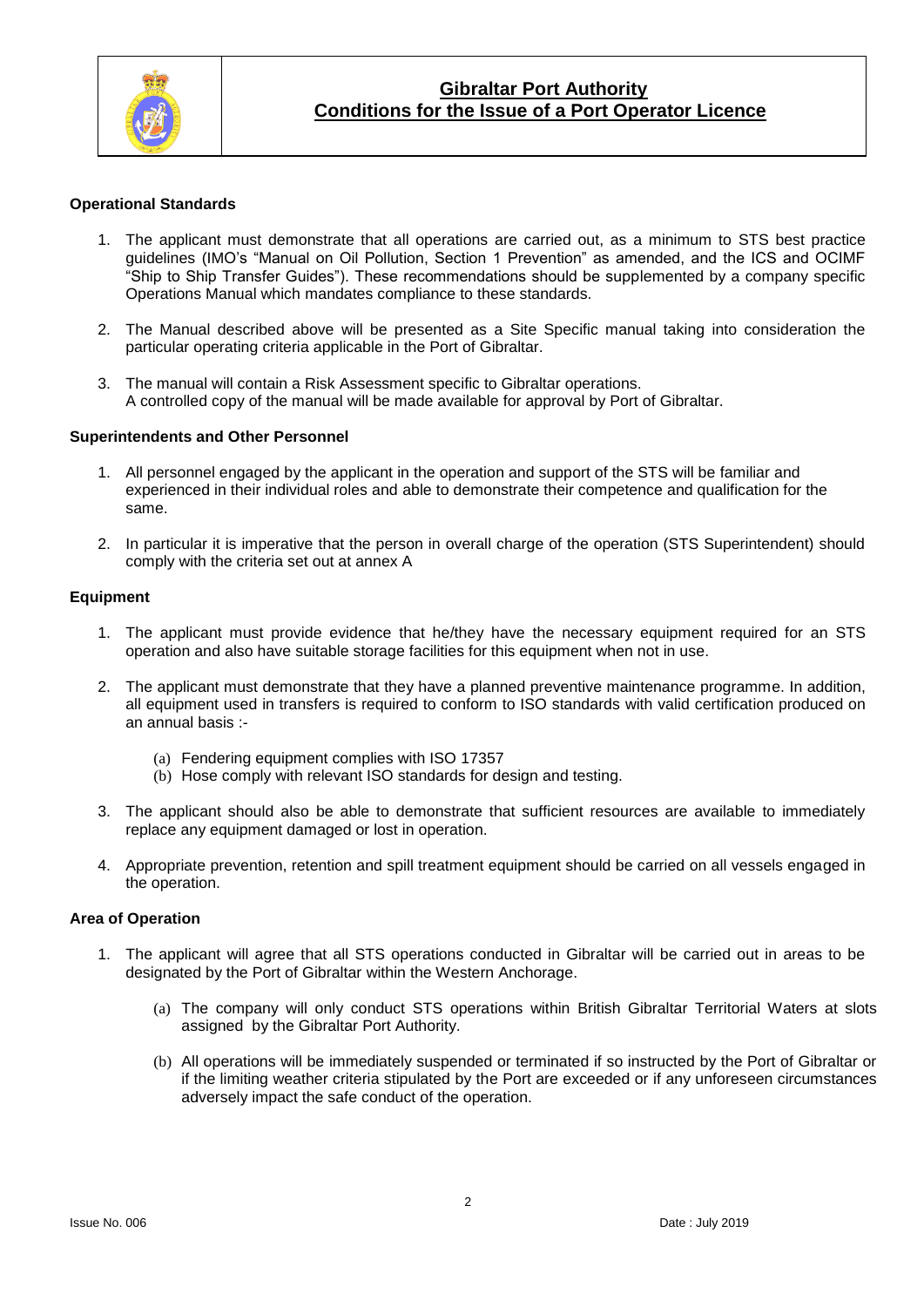

#### **Operational Standards**

- 1. The applicant must demonstrate that all operations are carried out, as a minimum to STS best practice guidelines (IMO's "Manual on Oil Pollution, Section 1 Prevention" as amended, and the ICS and OCIMF "Ship to Ship Transfer Guides"). These recommendations should be supplemented by a company specific Operations Manual which mandates compliance to these standards.
- 2. The Manual described above will be presented as a Site Specific manual taking into consideration the particular operating criteria applicable in the Port of Gibraltar.
- 3. The manual will contain a Risk Assessment specific to Gibraltar operations. A controlled copy of the manual will be made available for approval by Port of Gibraltar.

#### **Superintendents and Other Personnel**

- 1. All personnel engaged by the applicant in the operation and support of the STS will be familiar and experienced in their individual roles and able to demonstrate their competence and qualification for the same.
- 2. In particular it is imperative that the person in overall charge of the operation (STS Superintendent) should comply with the criteria set out at annex A

#### **Equipment**

- 1. The applicant must provide evidence that he/they have the necessary equipment required for an STS operation and also have suitable storage facilities for this equipment when not in use.
- 2. The applicant must demonstrate that they have a planned preventive maintenance programme. In addition, all equipment used in transfers is required to conform to ISO standards with valid certification produced on an annual basis :-
	- (a) Fendering equipment complies with ISO 17357
	- (b) Hose comply with relevant ISO standards for design and testing.
- 3. The applicant should also be able to demonstrate that sufficient resources are available to immediately replace any equipment damaged or lost in operation.
- 4. Appropriate prevention, retention and spill treatment equipment should be carried on all vessels engaged in the operation.

#### **Area of Operation**

- 1. The applicant will agree that all STS operations conducted in Gibraltar will be carried out in areas to be designated by the Port of Gibraltar within the Western Anchorage.
	- (a) The company will only conduct STS operations within British Gibraltar Territorial Waters at slots assigned by the Gibraltar Port Authority.
	- (b) All operations will be immediately suspended or terminated if so instructed by the Port of Gibraltar or if the limiting weather criteria stipulated by the Port are exceeded or if any unforeseen circumstances adversely impact the safe conduct of the operation.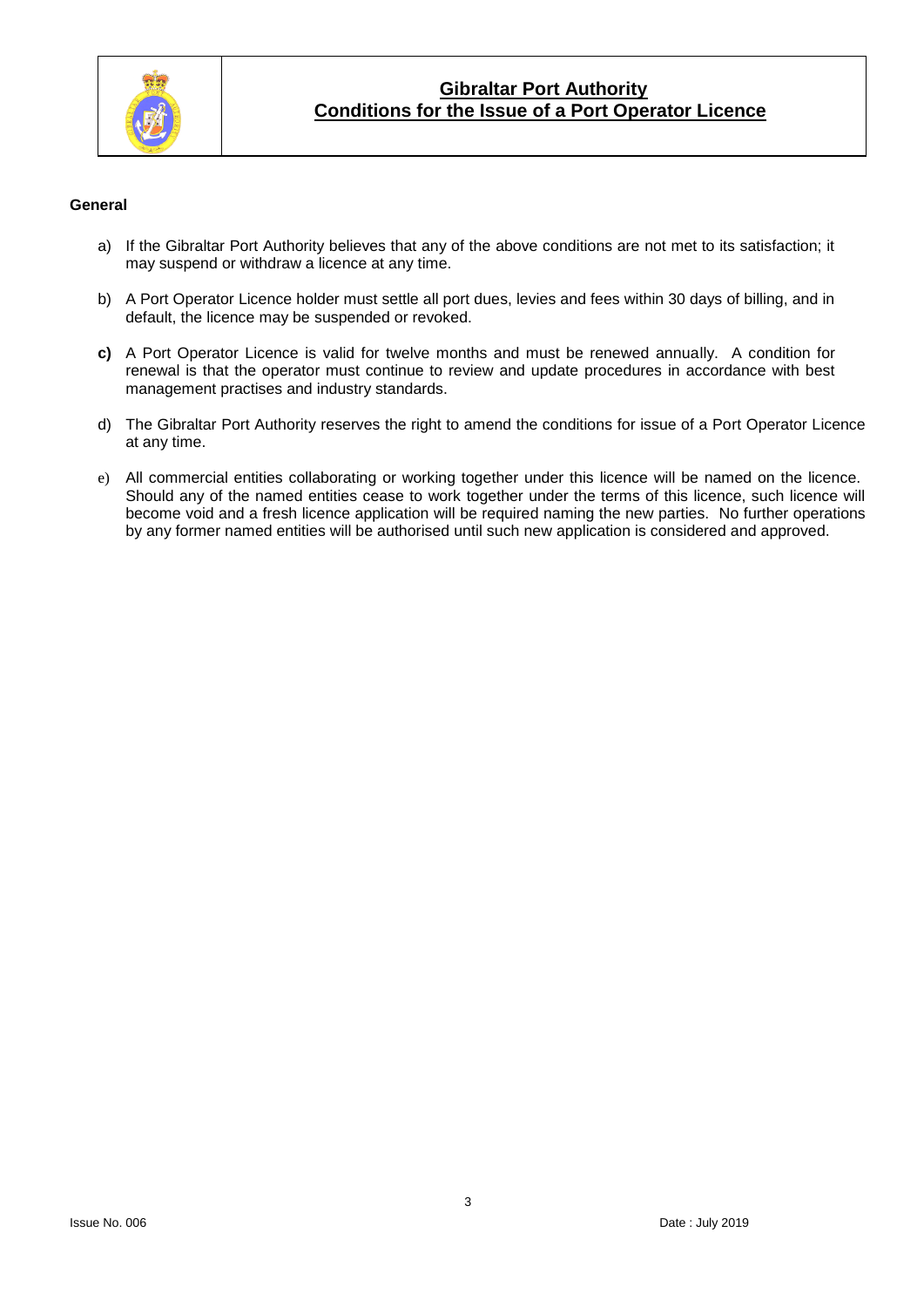

#### **General**

- a) If the Gibraltar Port Authority believes that any of the above conditions are not met to its satisfaction; it may suspend or withdraw a licence at any time.
- b) A Port Operator Licence holder must settle all port dues, levies and fees within 30 days of billing, and in default, the licence may be suspended or revoked.
- **c)** A Port Operator Licence is valid for twelve months and must be renewed annually. A condition for renewal is that the operator must continue to review and update procedures in accordance with best management practises and industry standards.
- d) The Gibraltar Port Authority reserves the right to amend the conditions for issue of a Port Operator Licence at any time.
- e) All commercial entities collaborating or working together under this licence will be named on the licence. Should any of the named entities cease to work together under the terms of this licence, such licence will become void and a fresh licence application will be required naming the new parties. No further operations by any former named entities will be authorised until such new application is considered and approved.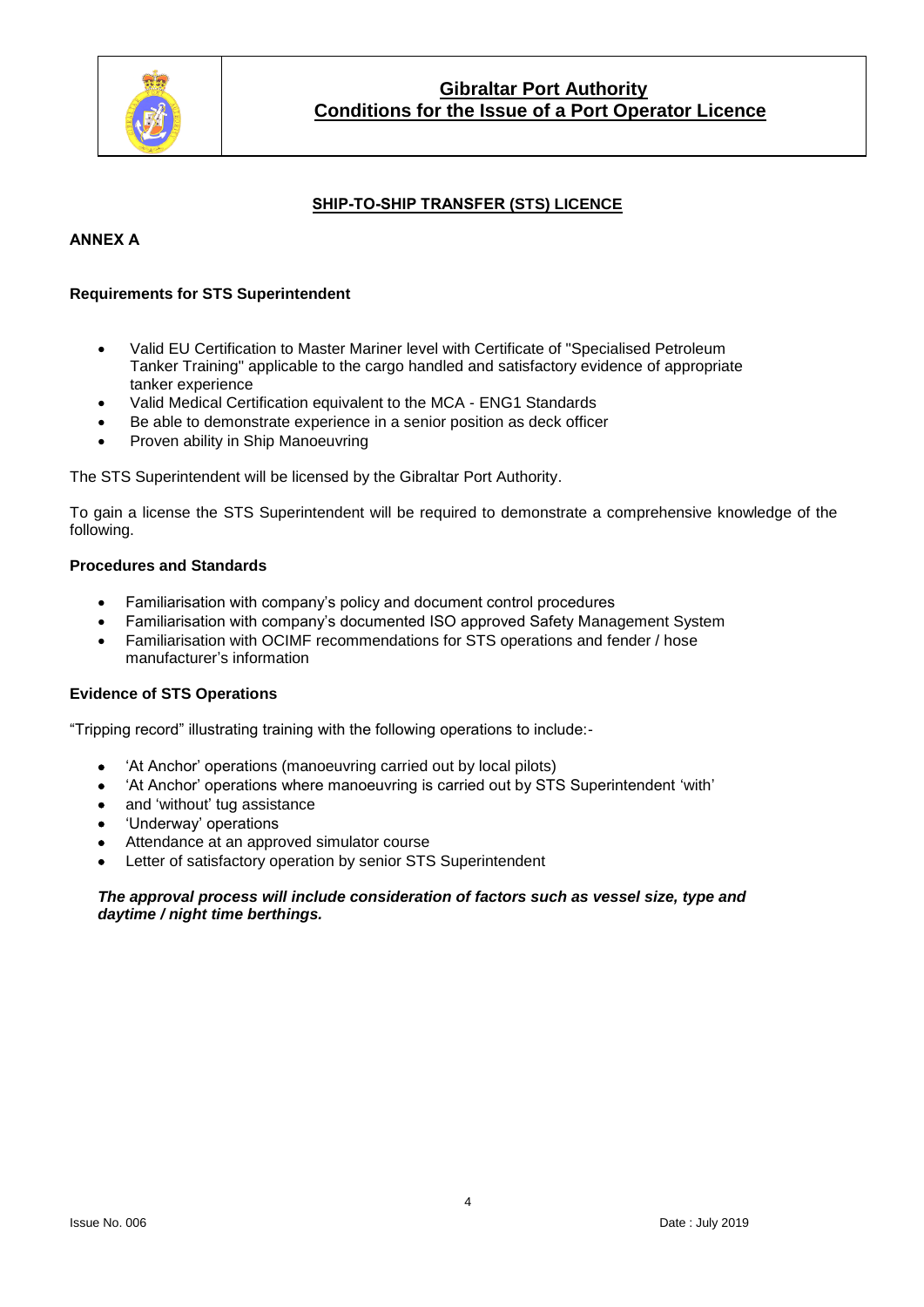

## **SHIP-TO-SHIP TRANSFER (STS) LICENCE**

### **ANNEX A**

#### **Requirements for STS Superintendent**

- Valid EU Certification to Master Mariner level with Certificate of "Specialised Petroleum Tanker Training" applicable to the cargo handled and satisfactory evidence of appropriate tanker experience
- Valid Medical Certification equivalent to the MCA ENG1 Standards
- Be able to demonstrate experience in a senior position as deck officer
- Proven ability in Ship Manoeuvring

The STS Superintendent will be licensed by the Gibraltar Port Authority.

To gain a license the STS Superintendent will be required to demonstrate a comprehensive knowledge of the following.

#### **Procedures and Standards**

- Familiarisation with company's policy and document control procedures
- Familiarisation with company's documented ISO approved Safety Management System
- Familiarisation with OCIMF recommendations for STS operations and fender / hose manufacturer's information

### **Evidence of STS Operations**

"Tripping record" illustrating training with the following operations to include:-

- 'At Anchor' operations (manoeuvring carried out by local pilots)
- 'At Anchor' operations where manoeuvring is carried out by STS Superintendent 'with'
- and 'without' tug assistance
- 'Underway' operations
- Attendance at an approved simulator course
- Letter of satisfactory operation by senior STS Superintendent

#### *The approval process will include consideration of factors such as vessel size, type and daytime / night time berthings.*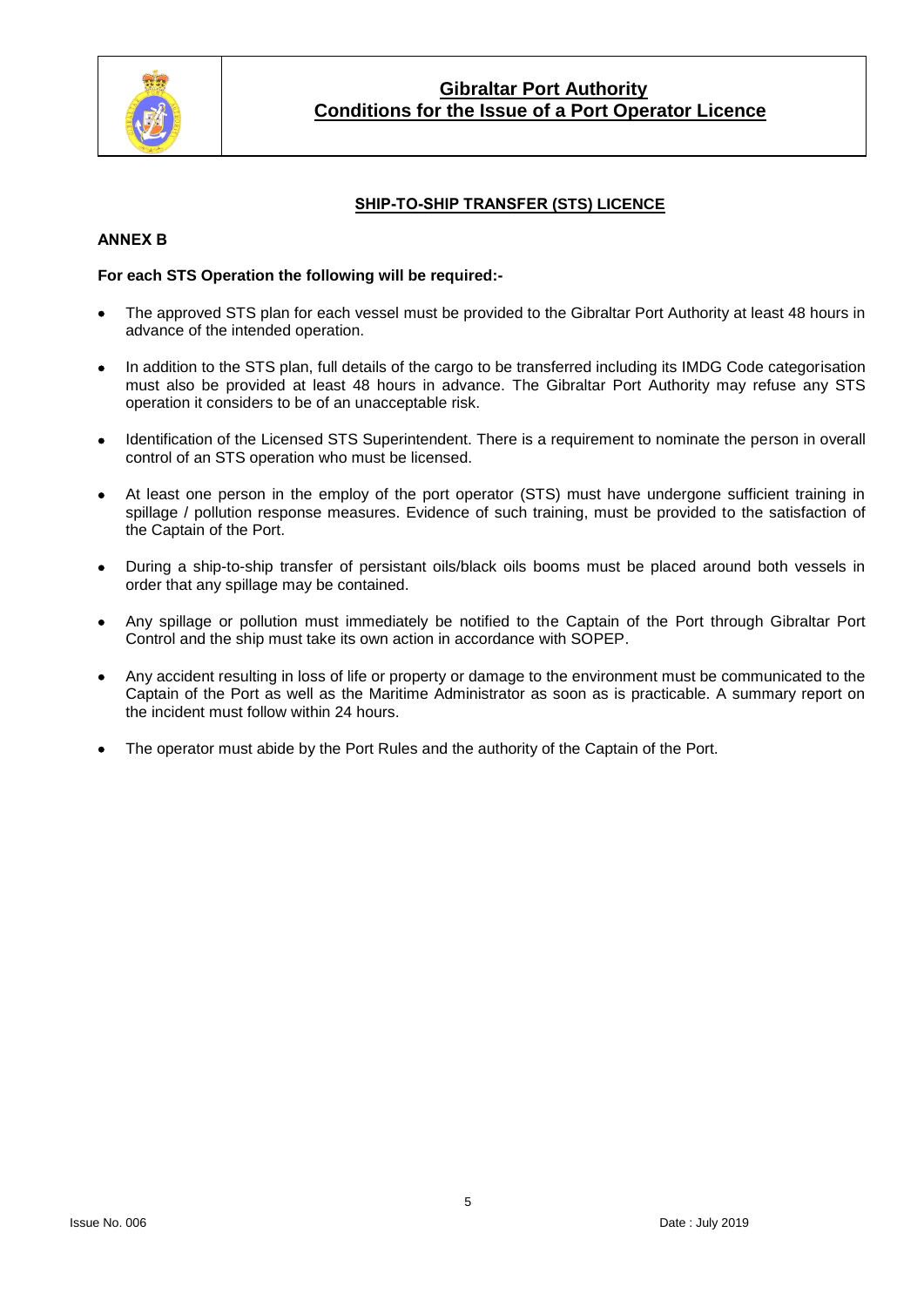

## **SHIP-TO-SHIP TRANSFER (STS) LICENCE**

### **ANNEX B**

### **For each STS Operation the following will be required:-**

- The approved STS plan for each vessel must be provided to the Gibraltar Port Authority at least 48 hours in advance of the intended operation.
- In addition to the STS plan, full details of the cargo to be transferred including its IMDG Code categorisation must also be provided at least 48 hours in advance. The Gibraltar Port Authority may refuse any STS operation it considers to be of an unacceptable risk.
- Identification of the Licensed STS Superintendent. There is a requirement to nominate the person in overall control of an STS operation who must be licensed.
- At least one person in the employ of the port operator (STS) must have undergone sufficient training in spillage / pollution response measures. Evidence of such training, must be provided to the satisfaction of the Captain of the Port.
- During a ship-to-ship transfer of persistant oils/black oils booms must be placed around both vessels in order that any spillage may be contained.
- Any spillage or pollution must immediately be notified to the Captain of the Port through Gibraltar Port Control and the ship must take its own action in accordance with SOPEP.
- Any accident resulting in loss of life or property or damage to the environment must be communicated to the Captain of the Port as well as the Maritime Administrator as soon as is practicable. A summary report on the incident must follow within 24 hours.
- The operator must abide by the Port Rules and the authority of the Captain of the Port.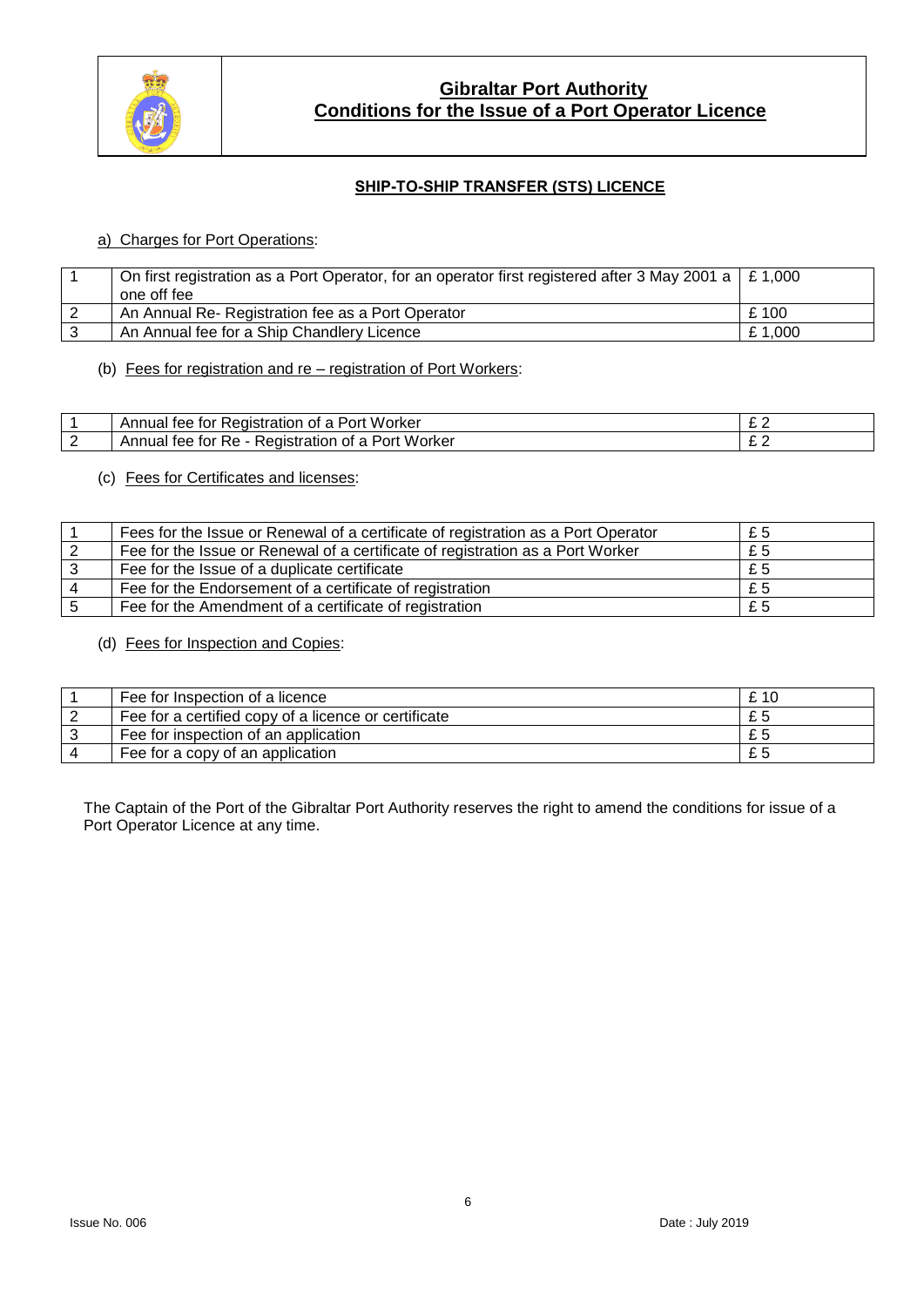

## **SHIP-TO-SHIP TRANSFER (STS) LICENCE**

## a) Charges for Port Operations:

| On first registration as a Port Operator, for an operator first registered after 3 May 2001 a $\mid$ £ 1,000<br>one off fee |        |
|-----------------------------------------------------------------------------------------------------------------------------|--------|
| An Annual Re- Registration fee as a Port Operator                                                                           | £ 100  |
| An Annual fee for a Ship Chandlery Licence                                                                                  | £1.000 |

(b) Fees for registration and re – registration of Port Workers:

| Worker<br>Annual<br>Registration<br>tor<br>Port<br>tee<br>Ωt          | - - |
|-----------------------------------------------------------------------|-----|
| . Worker<br>Registration<br>Port<br>Annuai<br>tor<br>tee<br>КA<br>∩t⊹ | -   |

(c) Fees for Certificates and licenses:

| Fees for the Issue or Renewal of a certificate of registration as a Port Operator | £5 |
|-----------------------------------------------------------------------------------|----|
| Fee for the Issue or Renewal of a certificate of registration as a Port Worker    | £5 |
| Fee for the Issue of a duplicate certificate                                      | £5 |
| Fee for the Endorsement of a certificate of registration                          | £5 |
| Fee for the Amendment of a certificate of registration                            | £5 |

(d) Fees for Inspection and Copies:

| Fee for Inspection of a licence                      | £ 10 |
|------------------------------------------------------|------|
| Fee for a certified copy of a licence or certificate | £5   |
| Fee for inspection of an application                 | £5   |
| Fee for a copy of an application                     | £5   |

The Captain of the Port of the Gibraltar Port Authority reserves the right to amend the conditions for issue of a Port Operator Licence at any time.